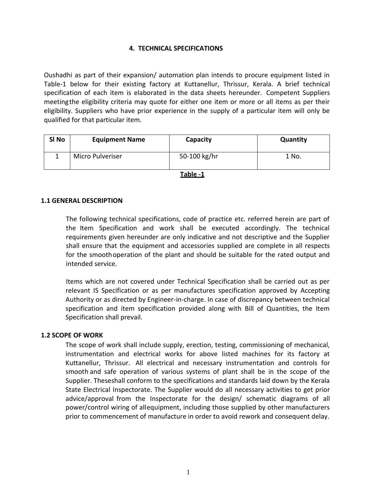## **4. TECHNICAL SPECIFICATIONS**

Oushadhi as part of their expansion/ automation plan intends to procure equipment listed in Table-1 below for their existing factory at Kuttanellur, Thrissur, Kerala. A brief technical specification of each item is elaborated in the data sheets hereunder. Competent Suppliers meetingthe eligibility criteria may quote for either one item or more or all items as per their eligibility. Suppliers who have prior experience in the supply of a particular item will only be qualified for that particular item.

| SI <sub>No</sub> | <b>Equipment Name</b> | Capacity     | Quantity |
|------------------|-----------------------|--------------|----------|
|                  | Micro Pulveriser      | 50-100 kg/hr | 1 No.    |

**Table -1**

### **1.1 GENERAL DESCRIPTION**

The following technical specifications, code of practice etc. referred herein are part of the Item Specification and work shall be executed accordingly. The technical requirements given hereunder are only indicative and not descriptive and the Supplier shall ensure that the equipment and accessories supplied are complete in all respects for the smoothoperation of the plant and should be suitable for the rated output and intended service.

Items which are not covered under Technical Specification shall be carried out as per relevant IS Specification or as per manufactures specification approved by Accepting Authority or as directed by Engineer-in-charge. In case of discrepancy between technical specification and item specification provided along with Bill of Quantities, the Item Specification shall prevail.

#### **1.2 SCOPE OF WORK**

The scope of work shall include supply, erection, testing, commissioning of mechanical, instrumentation and electrical works for above listed machines for its factory at Kuttanellur, Thrissur. All electrical and necessary instrumentation and controls for smooth and safe operation of various systems of plant shall be in the scope of the Supplier. Theseshall conform to the specifications and standards laid down by the Kerala State Electrical Inspectorate. The Supplier would do all necessary activities to get prior advice/approval from the Inspectorate for the design/ schematic diagrams of all power/control wiring of allequipment, including those supplied by other manufacturers prior to commencement of manufacture in order to avoid rework and consequent delay.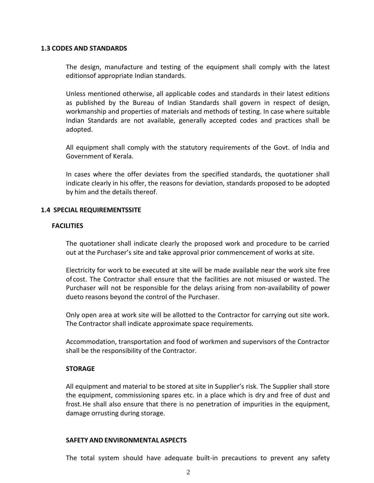### **1.3 CODES AND STANDARDS**

The design, manufacture and testing of the equipment shall comply with the latest editionsof appropriate Indian standards.

Unless mentioned otherwise, all applicable codes and standards in their latest editions as published by the Bureau of Indian Standards shall govern in respect of design, workmanship and properties of materials and methods of testing. In case where suitable Indian Standards are not available, generally accepted codes and practices shall be adopted.

All equipment shall comply with the statutory requirements of the Govt. of India and Government of Kerala.

In cases where the offer deviates from the specified standards, the quotationer shall indicate clearly in his offer, the reasons for deviation, standards proposed to be adopted by him and the details thereof.

### **1.4 SPECIAL REQUIREMENTSSITE**

### **FACILITIES**

The quotationer shall indicate clearly the proposed work and procedure to be carried out at the Purchaser's site and take approval prior commencement of works at site.

Electricity for work to be executed at site will be made available near the work site free of cost. The Contractor shall ensure that the facilities are not misused or wasted. The Purchaser will not be responsible for the delays arising from non-availability of power dueto reasons beyond the control of the Purchaser.

Only open area at work site will be allotted to the Contractor for carrying out site work. The Contractor shall indicate approximate space requirements.

Accommodation, transportation and food of workmen and supervisors of the Contractor shall be the responsibility of the Contractor.

## **STORAGE**

All equipment and material to be stored at site in Supplier's risk. The Supplier shall store the equipment, commissioning spares etc. in a place which is dry and free of dust and frost.He shall also ensure that there is no penetration of impurities in the equipment, damage orrusting during storage.

#### **SAFETY AND ENVIRONMENTAL ASPECTS**

The total system should have adequate built-in precautions to prevent any safety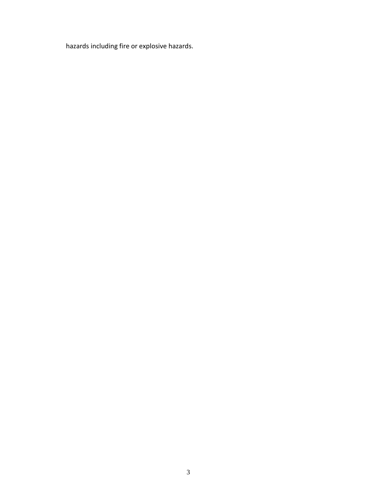hazards including fire or explosive hazards.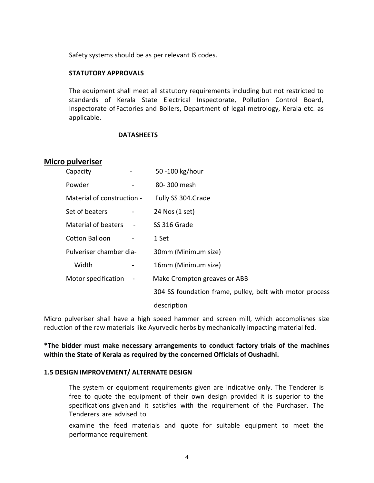Safety systems should be as per relevant IS codes.

## **STATUTORY APPROVALS**

The equipment shall meet all statutory requirements including but not restricted to standards of Kerala State Electrical Inspectorate, Pollution Control Board, Inspectorate of Factories and Boilers, Department of legal metrology, Kerala etc. as applicable.

## **DATASHEETS**

## **Micro pulveriser**

| Capacity                   |                          | 50 -100 kg/hour                                          |
|----------------------------|--------------------------|----------------------------------------------------------|
| Powder                     | $\overline{\phantom{a}}$ | 80-300 mesh                                              |
| Material of construction - |                          | Fully SS 304.Grade                                       |
| Set of beaters             |                          | 24 Nos (1 set)                                           |
| <b>Material of beaters</b> |                          | SS 316 Grade                                             |
| Cotton Balloon             |                          | 1 Set                                                    |
| Pulveriser chamber dia-    |                          | 30mm (Minimum size)                                      |
| Width                      |                          | 16mm (Minimum size)                                      |
| Motor specification        |                          | Make Crompton greaves or ABB                             |
|                            |                          | 304 SS foundation frame, pulley, belt with motor process |
|                            |                          | description                                              |

Micro pulveriser shall have a high speed hammer and screen mill, which accomplishes size reduction of the raw materials like Ayurvedic herbs by mechanically impacting material fed.

**\*The bidder must make necessary arrangements to conduct factory trials of the machines within the State of Kerala as required by the concerned Officials of Oushadhi.**

#### **1.5 DESIGN IMPROVEMENT/ ALTERNATE DESIGN**

The system or equipment requirements given are indicative only. The Tenderer is free to quote the equipment of their own design provided it is superior to the specifications given and it satisfies with the requirement of the Purchaser. The Tenderers are advised to

examine the feed materials and quote for suitable equipment to meet the performance requirement.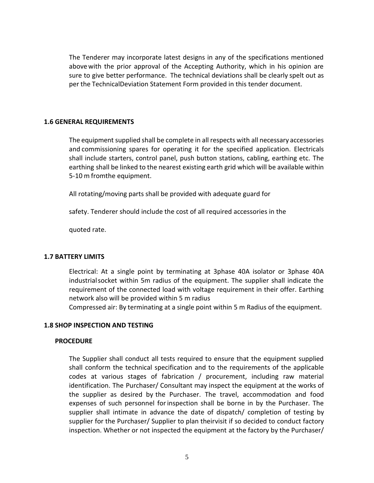The Tenderer may incorporate latest designs in any of the specifications mentioned above with the prior approval of the Accepting Authority, which in his opinion are sure to give better performance. The technical deviations shall be clearly spelt out as per the TechnicalDeviation Statement Form provided in this tender document.

### **1.6 GENERAL REQUIREMENTS**

The equipment supplied shall be complete in all respects with all necessary accessories and commissioning spares for operating it for the specified application. Electricals shall include starters, control panel, push button stations, cabling, earthing etc. The earthing shall be linked to the nearest existing earth grid which will be available within 5-10 m fromthe equipment.

All rotating/moving parts shall be provided with adequate guard for

safety. Tenderer should include the cost of all required accessories in the

quoted rate.

## **1.7 BATTERY LIMITS**

Electrical: At a single point by terminating at 3phase 40A isolator or 3phase 40A industrialsocket within 5m radius of the equipment. The supplier shall indicate the requirement of the connected load with voltage requirement in their offer. Earthing network also will be provided within 5 m radius

Compressed air: By terminating at a single point within 5 m Radius of the equipment.

## **1.8 SHOP INSPECTION AND TESTING**

#### **PROCEDURE**

The Supplier shall conduct all tests required to ensure that the equipment supplied shall conform the technical specification and to the requirements of the applicable codes at various stages of fabrication / procurement, including raw material identification. The Purchaser/ Consultant may inspect the equipment at the works of the supplier as desired by the Purchaser. The travel, accommodation and food expenses of such personnel forinspection shall be borne in by the Purchaser. The supplier shall intimate in advance the date of dispatch/ completion of testing by supplier for the Purchaser/ Supplier to plan theirvisit if so decided to conduct factory inspection. Whether or not inspected the equipment at the factory by the Purchaser/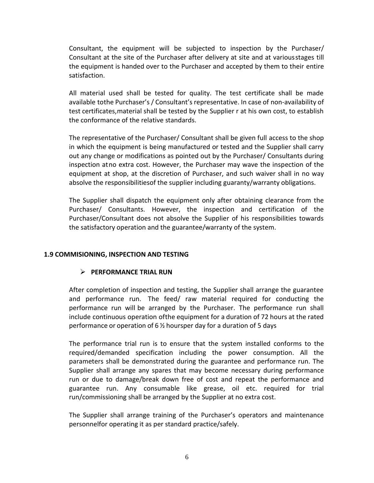Consultant, the equipment will be subjected to inspection by the Purchaser/ Consultant at the site of the Purchaser after delivery at site and at variousstages till the equipment is handed over to the Purchaser and accepted by them to their entire satisfaction.

All material used shall be tested for quality. The test certificate shall be made available tothe Purchaser's / Consultant's representative. In case of non-availability of test certificates,material shall be tested by the Supplier r at his own cost, to establish the conformance of the relative standards.

The representative of the Purchaser/ Consultant shall be given full access to the shop in which the equipment is being manufactured or tested and the Supplier shall carry out any change or modifications as pointed out by the Purchaser/ Consultants during inspection atno extra cost. However, the Purchaser may wave the inspection of the equipment at shop, at the discretion of Purchaser, and such waiver shall in no way absolve the responsibilitiesof the supplier including guaranty/warranty obligations.

The Supplier shall dispatch the equipment only after obtaining clearance from the Purchaser/ Consultants. However, the inspection and certification of the Purchaser/Consultant does not absolve the Supplier of his responsibilities towards the satisfactory operation and the guarantee/warranty of the system.

# **1.9 COMMISIONING, INSPECTION AND TESTING**

# **PERFORMANCE TRIAL RUN**

After completion of inspection and testing, the Supplier shall arrange the guarantee and performance run. The feed/ raw material required for conducting the performance run will be arranged by the Purchaser. The performance run shall include continuous operation ofthe equipment for a duration of 72 hours at the rated performance or operation of 6 ½ hoursper day for a duration of 5 days

The performance trial run is to ensure that the system installed conforms to the required/demanded specification including the power consumption. All the parameters shall be demonstrated during the guarantee and performance run. The Supplier shall arrange any spares that may become necessary during performance run or due to damage/break down free of cost and repeat the performance and guarantee run. Any consumable like grease, oil etc. required for trial run/commissioning shall be arranged by the Supplier at no extra cost.

The Supplier shall arrange training of the Purchaser's operators and maintenance personnelfor operating it as per standard practice/safely.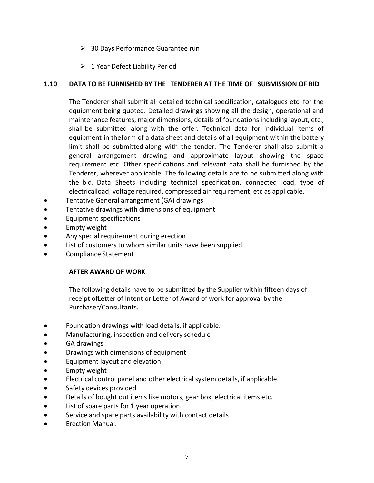- $\geq$  30 Days Performance Guarantee run
- $\geq 1$  Year Defect Liability Period

# **1.10 DATA TO BE FURNISHED BY THE TENDERER AT THE TIME OF SUBMISSION OF BID**

The Tenderer shall submit all detailed technical specification, catalogues etc. for the equipment being quoted. Detailed drawings showing all the design, operational and maintenance features, major dimensions, details of foundations including layout, etc., shall be submitted along with the offer. Technical data for individual items of equipment in theform of a data sheet and details of all equipment within the battery limit shall be submitted along with the tender. The Tenderer shall also submit a general arrangement drawing and approximate layout showing the space requirement etc. Other specifications and relevant data shall be furnished by the Tenderer, wherever applicable. The following details are to be submitted along with the bid. Data Sheets including technical specification, connected load, type of electricalload, voltage required, compressed air requirement, etc as applicable.

- Tentative General arrangement (GA) drawings
- Tentative drawings with dimensions of equipment
- Equipment specifications
- Empty weight
- Any special requirement during erection
- List of customers to whom similar units have been supplied
- Compliance Statement

# **AFTER AWARD OF WORK**

The following details have to be submitted by the Supplier within fifteen days of receipt ofLetter of Intent or Letter of Award of work for approval by the Purchaser/Consultants.

- Foundation drawings with load details, if applicable.
- Manufacturing, inspection and delivery schedule
- GA drawings
- **•** Drawings with dimensions of equipment
- Equipment layout and elevation
- Empty weight
- Electrical control panel and other electrical system details, if applicable.
- Safety devices provided
- Details of bought out items like motors, gear box, electrical items etc.
- List of spare parts for 1 year operation.
- Service and spare parts availability with contact details
- Erection Manual.